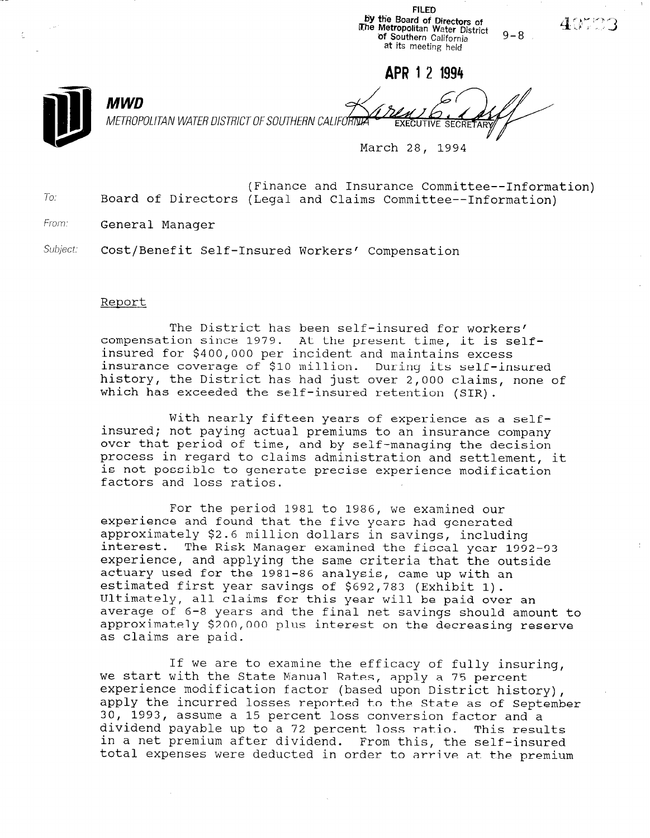FILED 6Y We Board of Directors of t **he Metropolitan Water District 9-8**<br>6- 19 of Southern California at its meeting held

APR I 2 1994



.-

MWD METROPOLITAN WATER DISTRICT OF SOUTHERN CALIFORNI

March 28, 1994

(Finance and Insurance Committee--Information) To: Board of Directors (Legal and Claims Committee--Information)

From: **General Manager** 

Subject: Cost/Benefit Self-Insured Workers' Compensation

#### Report

The District has been self-insured for workers' compensation since 1979. At the present time, it is selfinsured for \$400,000 per incident and maintains excess insurance coverage of \$10 million. During its self-insured history, the District has had just over 2,000 claims, none of which has exceeded the self-insured retention (SIR).

With nearly fifteen years of experience as a selfinsured; not paying actual premiums to an insurance company over that period of time, and by self-managing the decision process in regard to claims administration and settlement, it is not possible to generate precise experience modification factors and loss ratios.

For the period 1981 to 1986, we examined our experience and found that the five years had generated approximately \$2.6 million dollars in savings, including interest. The Risk Manager examined the fiscal year 1992-93 experience, and applying the same criteria that the outside actuary used for the 1981-86 analysis, came up with an estimated first year savings of \$692,783 (Exhibit 1). Ultimately, all claims for this year will be paid over an average of G-8 years and the final net savings should amount to approximately \$200,000 plus interest on the decreasing reserve as claims are paid.

If we are to examine the efficacy of fully insuring, we start with the State Manual Rates, apply a 75 percent  $\alpha$  between the state modification factor (apply a  $\beta$ ) percent  $\alpha$  apply the incurred losses as  $\alpha$  as  $\alpha$  as  $\alpha$   $\beta$   $\beta$   $\gamma$   $\gamma$ apply the incurred rosses reported to the state as of septer<br>30, 1993, assume a 15 percent loss conversion factor and a dividend payable up to a 72 percent loss conversion identity and a dividend payable up to a 72 percent ross ratio. This res th a net premium arrer dividend. From this, the seif-insured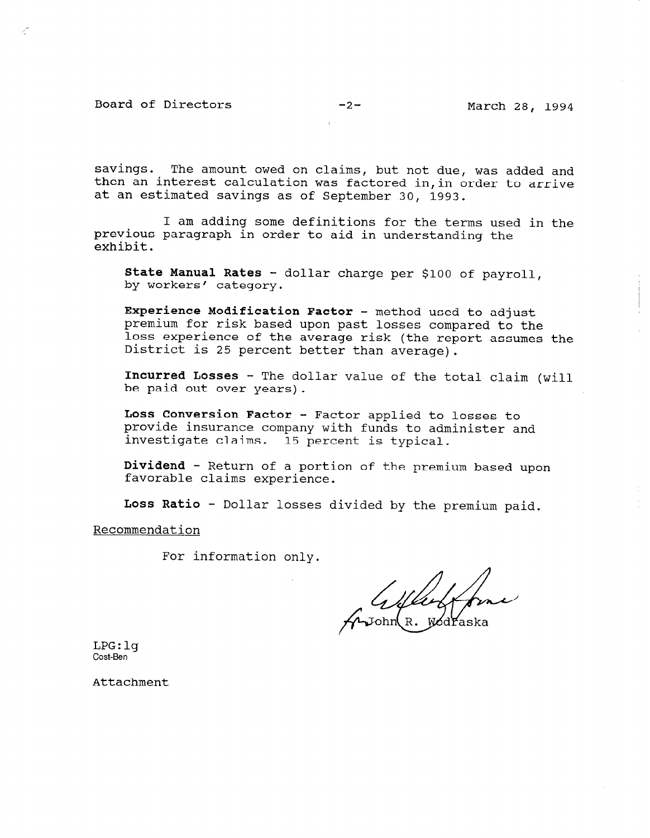Board of Directors -2- March 28, 1994

V.

savings. The amount owed on claims, but not due, was added and then an interest calculation was factored in,in order to arrive at an estimated savings as of September 30, 1993.

I am adding some definitions for the terms used in the previous paragraph in order to aid in understanding the exhibit.

State Manual Rates - dollar charge per \$100 of payroll, by workers' category.

Experience Modification Factor  $-$  method used to adjust premium for risk based upon past losses compared to the loss experience of the average risk (the report assumes the District is 25 percent better than average).

Incurred Losses - The dollar value of the total claim (will be paid out over years).

Loss Conversion Factor - Factor applied to losses to provide insurance company with funds to administer and investigate claims. 15 percent is typical.

Dividend - Return of a portion of the premium based upon favorable claims experience.

Loss Ratio - Dollar losses divided by the premium paid.

Recommendation

For information only.

ídřaska

LPG:lg Cost-Ben

Attachment